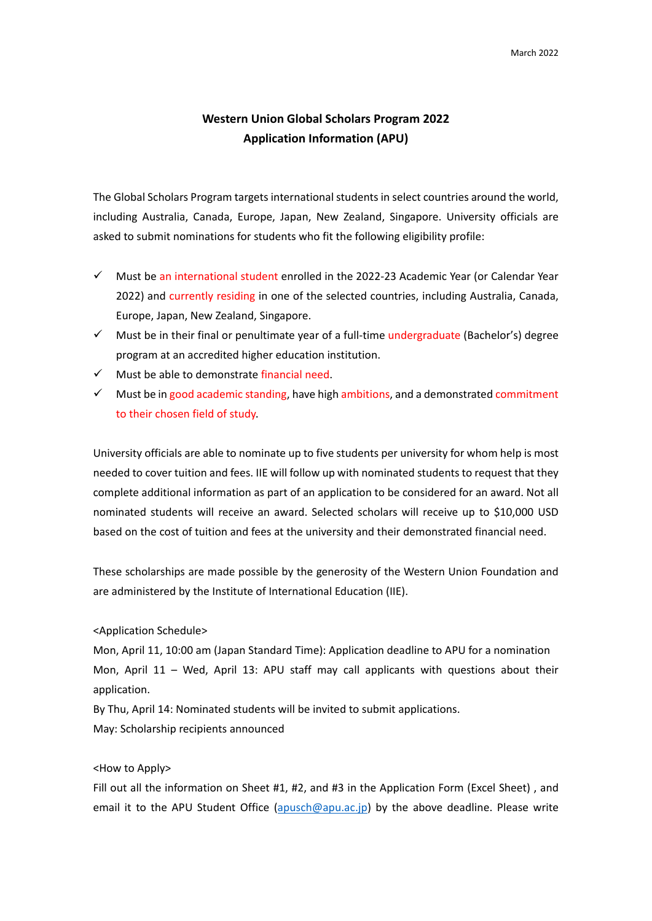## **Western Union Global Scholars Program 2022 Application Information (APU)**

The Global Scholars Program targets international students in select countries around the world, including Australia, Canada, Europe, Japan, New Zealand, Singapore. University officials are asked to submit nominations for students who fit the following eligibility profile:

- Must be an international student enrolled in the 2022‐23 Academic Year (or Calendar Year 2022) and currently residing in one of the selected countries, including Australia, Canada, Europe, Japan, New Zealand, Singapore.
- $\checkmark$  Must be in their final or penultimate year of a full-time undergraduate (Bachelor's) degree program at an accredited higher education institution.
- $\checkmark$  Must be able to demonstrate financial need.
- $\checkmark$  Must be in good academic standing, have high ambitions, and a demonstrated commitment to their chosen field of study.

University officials are able to nominate up to five students per university for whom help is most needed to cover tuition and fees. IIE will follow up with nominated students to request that they complete additional information as part of an application to be considered for an award. Not all nominated students will receive an award. Selected scholars will receive up to \$10,000 USD based on the cost of tuition and fees at the university and their demonstrated financial need.

These scholarships are made possible by the generosity of the Western Union Foundation and are administered by the Institute of International Education (IIE).

## <Application Schedule>

Mon, April 11, 10:00 am (Japan Standard Time): Application deadline to APU for a nomination Mon, April 11 – Wed, April 13: APU staff may call applicants with questions about their application.

By Thu, April 14: Nominated students will be invited to submit applications.

May: Scholarship recipients announced

## <How to Apply>

Fill out all the information on Sheet #1, #2, and #3 in the Application Form (Excel Sheet), and email it to the APU Student Office (apusch@apu.ac.jp) by the above deadline. Please write